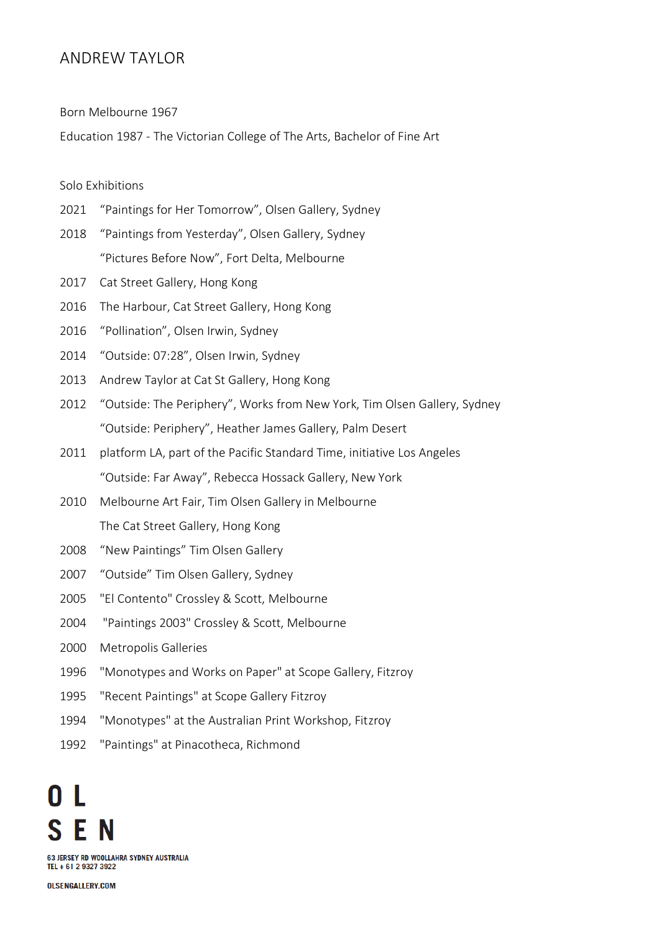## ANDREW TAYLOR

Born Melbourne 1967

Education 1987 - The Victorian College of The Arts, Bachelor of Fine Art

## Solo Exhibitions

- 2021 "Paintings for Her Tomorrow", Olsen Gallery, Sydney
- 2018 "Paintings from Yesterday", Olsen Gallery, Sydney "Pictures Before Now", Fort Delta, Melbourne
- 2017 Cat Street Gallery, Hong Kong
- 2016 The Harbour, Cat Street Gallery, Hong Kong
- 2016 "Pollination", Olsen Irwin, Sydney
- 2014 "Outside: 07:28", Olsen Irwin, Sydney
- 2013 Andrew Taylor at Cat St Gallery, Hong Kong
- 2012 "Outside: The Periphery", Works from New York, Tim Olsen Gallery, Sydney "Outside: Periphery", Heather James Gallery, Palm Desert
- 2011 platform LA, part of the Pacific Standard Time, initiative Los Angeles "Outside: Far Away", Rebecca Hossack Gallery, New York
- 2010 Melbourne Art Fair, Tim Olsen Gallery in Melbourne The Cat Street Gallery, Hong Kong
- 2008 "New Paintings" Tim Olsen Gallery
- 2007 "Outside" Tim Olsen Gallery, Sydney
- 2005 "El Contento" Crossley & Scott, Melbourne
- 2004 "Paintings 2003" Crossley & Scott, Melbourne
- 2000 Metropolis Galleries
- 1996 "Monotypes and Works on Paper" at Scope Gallery, Fitzroy
- 1995 "Recent Paintings" at Scope Gallery Fitzroy
- 1994 "Monotypes" at the Australian Print Workshop, Fitzroy
- 1992 "Paintings" at Pinacotheca, Richmond

63 JERSEY RD WOOLLAHRA SYDNEY AUSTRALIA TEL + 61 2 9327 3922

**OLSENGALLERY.COM**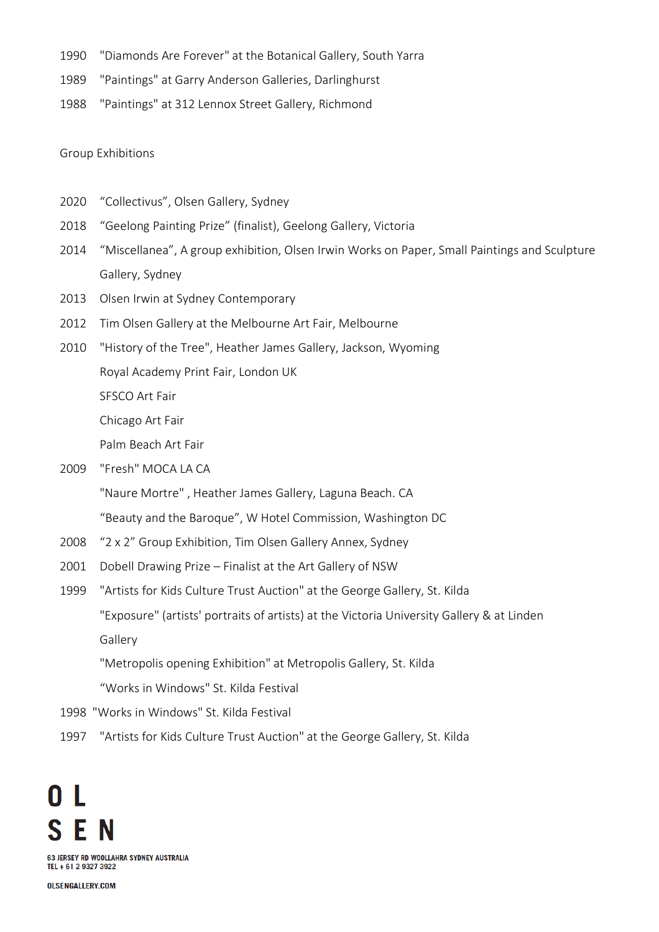- 1990 "Diamonds Are Forever" at the Botanical Gallery, South Yarra
- 1989 "Paintings" at Garry Anderson Galleries, Darlinghurst
- 1988 "Paintings" at 312 Lennox Street Gallery, Richmond

Group Exhibitions

- 2020 "Collectivus", Olsen Gallery, Sydney
- 2018 "Geelong Painting Prize" (finalist), Geelong Gallery, Victoria
- 2014 "Miscellanea", A group exhibition, Olsen Irwin Works on Paper, Small Paintings and Sculpture Gallery, Sydney
- 2013 Olsen Irwin at Sydney Contemporary
- 2012 Tim Olsen Gallery at the Melbourne Art Fair, Melbourne
- 2010 "History of the Tree", Heather James Gallery, Jackson, Wyoming

Royal Academy Print Fair, London UK

SFSCO Art Fair

Chicago Art Fair

Palm Beach Art Fair

2009 "Fresh" MOCA LA CA

"Naure Mortre" , Heather James Gallery, Laguna Beach. CA

"Beauty and the Baroque", W Hotel Commission, Washington DC

- 2008 "2 x 2" Group Exhibition, Tim Olsen Gallery Annex, Sydney
- 2001 Dobell Drawing Prize Finalist at the Art Gallery of NSW
- 1999 "Artists for Kids Culture Trust Auction" at the George Gallery, St. Kilda "Exposure" (artists' portraits of artists) at the Victoria University Gallery & at Linden Gallery

"Metropolis opening Exhibition" at Metropolis Gallery, St. Kilda

"Works in Windows" St. Kilda Festival

- 1998 "Works in Windows" St. Kilda Festival
- 1997 "Artists for Kids Culture Trust Auction" at the George Gallery, St. Kilda



**OLSENGALLERY.COM**